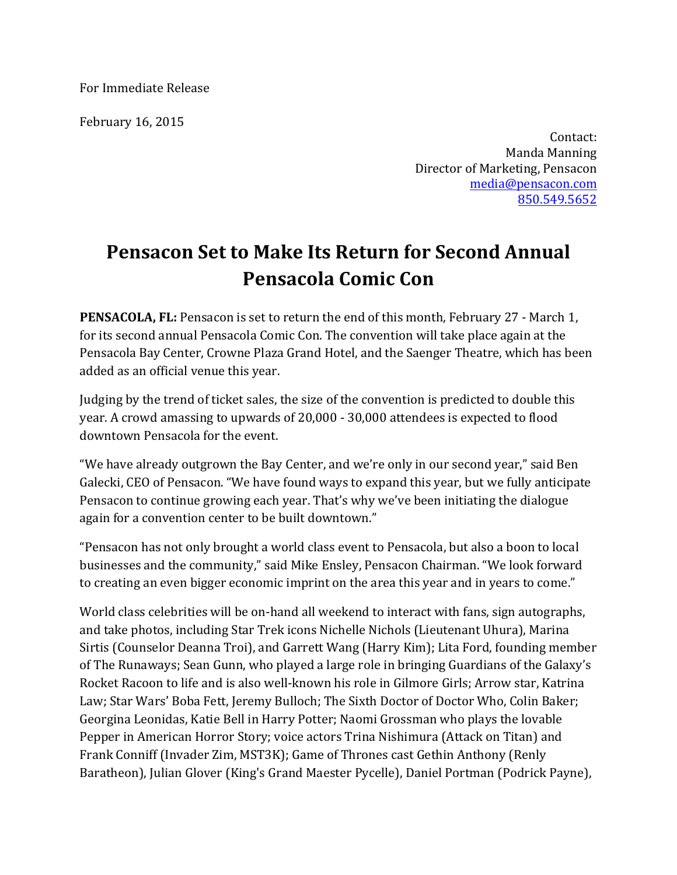For Immediate Release

February 16, 2015

Contact: Manda Manning Director of Marketing, Pensacon media@pensacon.com 850.549.5652

## **Pensacon Set to Make Its Return for Second Annual Pensacola Comic Con**

**PENSACOLA, FL:** Pensacon is set to return the end of this month, February 27 - March 1, for its second annual Pensacola Comic Con. The convention will take place again at the Pensacola Bay Center, Crowne Plaza Grand Hotel, and the Saenger Theatre, which has been added as an official venue this year.

Judging by the trend of ticket sales, the size of the convention is predicted to double this year. A crowd amassing to upwards of 20,000 - 30,000 attendees is expected to flood downtown Pensacola for the event.

"We have already outgrown the Bay Center, and we're only in our second year," said Ben Galecki, CEO of Pensacon. "We have found ways to expand this year, but we fully anticipate Pensacon to continue growing each year. That's why we've been initiating the dialogue again for a convention center to be built downtown."

"Pensacon has not only brought a world class event to Pensacola, but also a boon to local businesses and the community," said Mike Ensley, Pensacon Chairman. "We look forward to creating an even bigger economic imprint on the area this year and in years to come."

World class celebrities will be on-hand all weekend to interact with fans, sign autographs, and take photos, including Star Trek icons Nichelle Nichols (Lieutenant Uhura), Marina Sirtis (Counselor Deanna Troi), and Garrett Wang (Harry Kim); Lita Ford, founding member of The Runaways; Sean Gunn, who played a large role in bringing Guardians of the Galaxy's Rocket Racoon to life and is also well-known his role in Gilmore Girls; Arrow star, Katrina Law; Star Wars' Boba Fett, Jeremy Bulloch; The Sixth Doctor of Doctor Who, Colin Baker; Georgina Leonidas, Katie Bell in Harry Potter; Naomi Grossman who plays the lovable Pepper in American Horror Story; voice actors Trina Nishimura (Attack on Titan) and Frank Conniff (Invader Zim, MST3K); Game of Thrones cast Gethin Anthony (Renly Baratheon), Julian Glover (King's Grand Maester Pycelle), Daniel Portman (Podrick Payne),